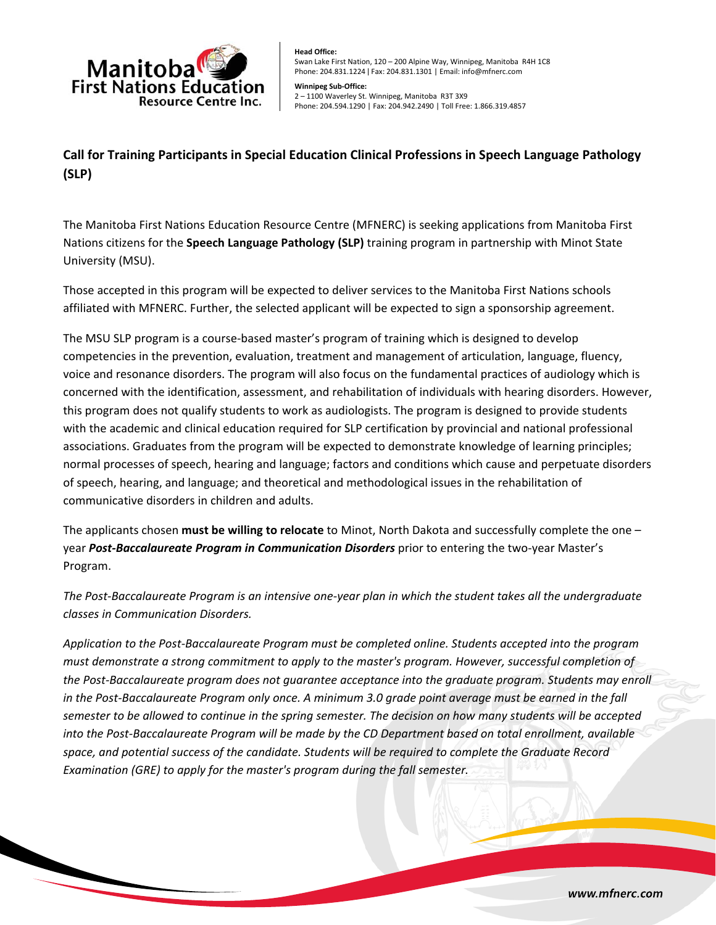

**Head Office:** Swan Lake First Nation, 120 – 200 Alpine Way, Winnipeg, Manitoba R4H 1C8 Phone: 204.831.1224 ǀ Fax: 204.831.1301 | Email: info@mfnerc.com **Winnipeg Sub‐Office:** 2 – 1100 Waverley St. Winnipeg, Manitoba R3T 3X9

Phone: 204.594.1290 | Fax: 204.942.2490 | Toll Free: 1.866.319.4857

## **Call for Training Participants in Special Education Clinical Professions in Speech Language Pathology (SLP)**

The Manitoba First Nations Education Resource Centre (MFNERC) is seeking applications from Manitoba First Nations citizens for the **Speech Language Pathology (SLP)** training program in partnership with Minot State University (MSU).

Those accepted in this program will be expected to deliver services to the Manitoba First Nations schools affiliated with MFNERC. Further, the selected applicant will be expected to sign a sponsorship agreement.

The MSU SLP program is a course‐based master's program of training which is designed to develop competencies in the prevention, evaluation, treatment and management of articulation, language, fluency, voice and resonance disorders. The program will also focus on the fundamental practices of audiology which is concerned with the identification, assessment, and rehabilitation of individuals with hearing disorders. However, this program does not qualify students to work as audiologists. The program is designed to provide students with the academic and clinical education required for SLP certification by provincial and national professional associations. Graduates from the program will be expected to demonstrate knowledge of learning principles; normal processes of speech, hearing and language; factors and conditions which cause and perpetuate disorders of speech, hearing, and language; and theoretical and methodological issues in the rehabilitation of communicative disorders in children and adults.

The applicants chosen **must be willing to relocate** to Minot, North Dakota and successfully complete the one – year *Post‐Baccalaureate Program in Communication Disorders* prior to entering the two‐year Master's Program.

The Post-Baccalaureate Program is an intensive one-year plan in which the student takes all the undergraduate *classes in Communication Disorders.* 

*Application to the Post‐Baccalaureate Program must be completed online. Students accepted into the program must demonstrate a strong commitment to apply to the master's program. However, successful completion of the Post‐Baccalaureate program does not guarantee acceptance into the graduate program. Students may enroll* in the Post-Baccalaureate Program only once. A minimum 3.0 grade point average must be earned in the fall semester to be allowed to continue in the spring semester. The decision on how many students will be accepted into the Post-Baccalaureate Program will be made by the CD Department based on total enrollment, available *space, and potential success of the candidate. Students will be required to complete the Graduate Record Examination (GRE) to apply for the master's program during the fall semester.*